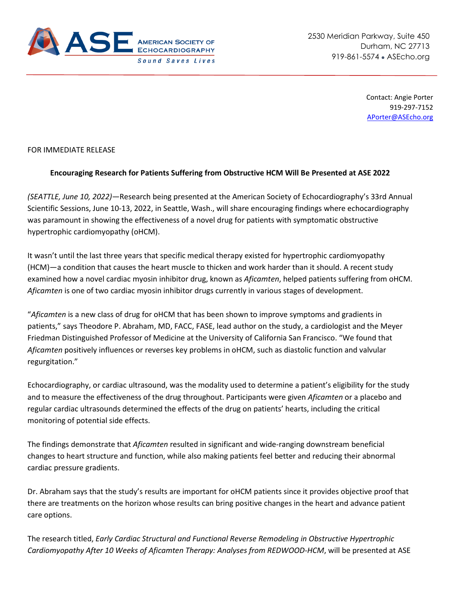

Contact: Angie Porter 919-297-7152 [APorter@ASEcho.org](mailto:APorter@ASEcho.org)

## FOR IMMEDIATE RELEASE

## **Encouraging Research for Patients Suffering from Obstructive HCM Will Be Presented at ASE 2022**

*(SEATTLE, June 10, 2022)—*Research being presented at the American Society of Echocardiography's 33rd Annual Scientific Sessions, June 10-13, 2022, in Seattle, Wash., will share encouraging findings where echocardiography was paramount in showing the effectiveness of a novel drug for patients with symptomatic obstructive hypertrophic cardiomyopathy (oHCM).

It wasn't until the last three years that specific medical therapy existed for hypertrophic cardiomyopathy (HCM)—a condition that causes the heart muscle to thicken and work harder than it should. A recent study examined how a novel cardiac myosin inhibitor drug, known as *Aficamten*, helped patients suffering from oHCM. *Aficamten* is one of two cardiac myosin inhibitor drugs currently in various stages of development.

"*Aficamten* is a new class of drug for oHCM that has been shown to improve symptoms and gradients in patients," says Theodore P. Abraham, MD, FACC, FASE, lead author on the study, a cardiologist and the Meyer Friedman Distinguished Professor of Medicine at the University of California San Francisco. "We found that *Aficamten* positively influences or reverses key problems in oHCM, such as diastolic function and valvular regurgitation."

Echocardiography, or cardiac ultrasound, was the modality used to determine a patient's eligibility for the study and to measure the effectiveness of the drug throughout. Participants were given *Aficamten* or a placebo and regular cardiac ultrasounds determined the effects of the drug on patients' hearts, including the critical monitoring of potential side effects.

The findings demonstrate that *Aficamten* resulted in significant and wide-ranging downstream beneficial changes to heart structure and function, while also making patients feel better and reducing their abnormal cardiac pressure gradients.

Dr. Abraham says that the study's results are important for oHCM patients since it provides objective proof that there are treatments on the horizon whose results can bring positive changes in the heart and advance patient care options.

The research titled, *Early Cardiac Structural and Functional Reverse Remodeling in Obstructive Hypertrophic Cardiomyopathy After 10 Weeks of Aficamten Therapy: Analyses from REDWOOD-HCM*, will be presented at ASE